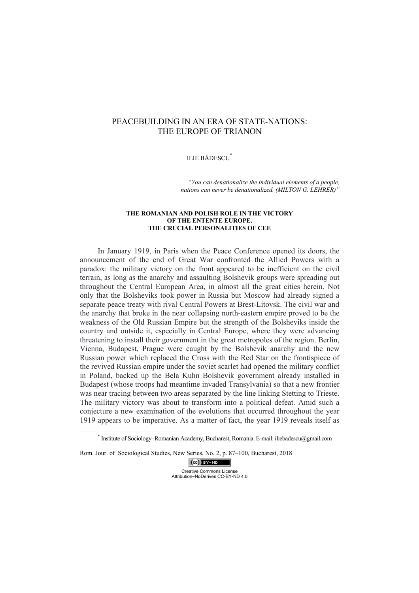# PEACEBUILDING IN AN ERA OF STATE-NATIONS: THE EUROPE OF TRIANON

## ILIE BĂDESCU\*

*"You can denationalize the individual elements of a people, nations can never be denationalized. (MILTON G. LEHRER)"*

#### **THE ROMANIAN AND POLISH ROLE IN THE VICTORY OF THE ENTENTE EUROPE. THE CRUCIAL PERSONALITIES OF CEE**

In January 1919, in Paris when the Peace Conference opened its doors, the announcement of the end of Great War confronted the Allied Powers with a paradox: the military victory on the front appeared to be inefficient on the civil terrain, as long as the anarchy and assaulting Bolshevik groups were spreading out throughout the Central European Area, in almost all the great cities herein. Not only that the Bolsheviks took power in Russia but Moscow had already signed a separate peace treaty with rival Central Powers at Brest-Litovsk. The civil war and the anarchy that broke in the near collapsing north-eastern empire proved to be the weakness of the Old Russian Empire but the strength of the Bolsheviks inside the country and outside it, especially in Central Europe, where they were advancing threatening to install their government in the great metropoles of the region. Berlin, Vienna, Budapest, Prague were caught by the Bolshevik anarchy and the new Russian power which replaced the Cross with the Red Star on the frontispiece of the revived Russian empire under the soviet scarlet had opened the military conflict in Poland, backed up the Bela Kuhn Bolshevik government already installed in Budapest (whose troops had meantime invaded Transylvania) so that a new frontier was near tracing between two areas separated by the line linking Stetting to Trieste. The military victory was about to transform into a political defeat. Amid such a conjecture a new examination of the evolutions that occurred throughout the year 1919 appears to be imperative. As a matter of fact, the year 1919 reveals itself as

Rom. Jour. of Sociological Studies, New Series, No. 2, p. 87–100, Bucharest, 2018

 $(cc)$  BY-NO Creative Commons License Attribution–NoDerives CC-BY-ND 4.0

 \* Institute of Sociology–Romanian Academy, Bucharest, Romania. E-mail: iliebadescu@gmail.com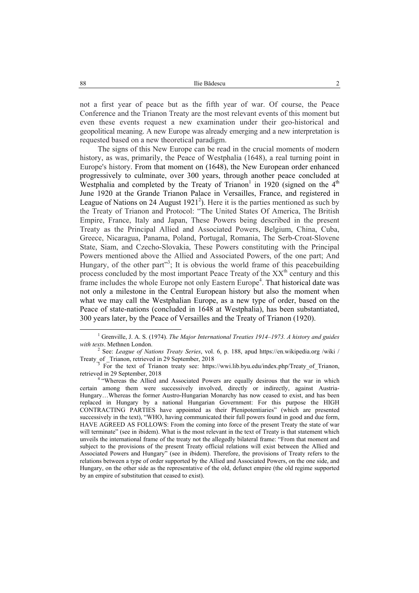not a first year of peace but as the fifth year of war. Of course, the Peace Conference and the Trianon Treaty are the most relevant events of this moment but even these events request a new examination under their geo-historical and geopolitical meaning. A new Europe was already emerging and a new interpretation is requested based on a new theoretical paradigm.

The signs of this New Europe can be read in the crucial moments of modern history, as was, primarily, the Peace of Westphalia (1648), a real turning point in Europe's history. From that moment on (1648), the New European order enhanced progressively to culminate, over 300 years, through another peace concluded at Westphalia and completed by the Treaty of Trianon<sup>1</sup> in 1920 (signed on the  $4<sup>th</sup>$ June 1920 at the Grande Trianon Palace in Versailles, France, and registered in League of Nations on 24 August  $1921^2$ ). Here it is the parties mentioned as such by the Treaty of Trianon and Protocol: "The United States Of America, The British Empire, France, Italy and Japan, These Powers being described in the present Treaty as the Principal Allied and Associated Powers, Belgium, China, Cuba, Greece, Nicaragua, Panama, Poland, Portugal, Romania, The Serb-Croat-Slovene State, Siam, and Czecho-Slovakia, These Powers constituting with the Principal Powers mentioned above the Allied and Associated Powers, of the one part; And Hungary, of the other part"<sup>3</sup>; It is obvious the world frame of this peacebuilding process concluded by the most important Peace Treaty of the XX<sup>th</sup> century and this frame includes the whole Europe not only Eastern Europe<sup>4</sup>. That historical date was not only a milestone in the Central European history but also the moment when what we may call the Westphalian Europe, as a new type of order, based on the Peace of state-nations (concluded in 1648 at Westphalia), has been substantiated, 300 years later, by the Peace of Versailles and the Treaty of Trianon (1920).

 <sup>1</sup> Grenville, J. A. S. (1974). *The Major International Treaties 1914–1973. A history and guides*  with texts. Methnen London.

See: *League of Nations Treaty Series*, vol. 6, p. 188, apud https://en.wikipedia.org /wiki / Treaty\_of \_Trianon, retrieved in 29 September, 2018 3

 $\overline{3}$  For the text of Trianon treaty see: https://wwi.lib.byu.edu/index.php/Treaty of Trianon, retrieved in 29 September, 2018

<sup>&</sup>lt;sup>4 "</sup>Whereas the Allied and Associated Powers are equally desirous that the war in which certain among them were successively involved, directly or indirectly, against Austria-Hungary…Whereas the former Austro-Hungarian Monarchy has now ceased to exist, and has been replaced in Hungary by a national Hungarian Government: For this purpose the HIGH CONTRACTING PARTIES have appointed as their Plenipotentiaries" (which are presented successively in the text), "WHO, having communicated their full powers found in good and due form, HAVE AGREED AS FOLLOWS: From the coming into force of the present Treaty the state of war will terminate" (see in ibidem). What is the most relevant in the text of Treaty is that statement which unveils the international frame of the treaty not the allegedly bilateral frame: "From that moment and subject to the provisions of the present Treaty official relations will exist between the Allied and Associated Powers and Hungary" (see in ibidem). Therefore, the provisions of Treaty refers to the relations between a type of order supported by the Allied and Associated Powers, on the one side, and Hungary, on the other side as the representative of the old, defunct empire (the old regime supported by an empire of substitution that ceased to exist).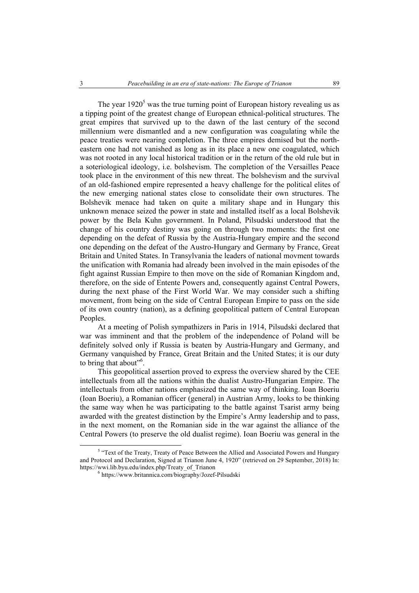The year  $1920<sup>5</sup>$  was the true turning point of European history revealing us as a tipping point of the greatest change of European ethnical-political structures. The great empires that survived up to the dawn of the last century of the second millennium were dismantled and a new configuration was coagulating while the peace treaties were nearing completion. The three empires demised but the northeastern one had not vanished as long as in its place a new one coagulated, which was not rooted in any local historical tradition or in the return of the old rule but in a soteriological ideology, i.e. bolshevism. The completion of the Versailles Peace took place in the environment of this new threat. The bolshevism and the survival of an old-fashioned empire represented a heavy challenge for the political elites of the new emerging national states close to consolidate their own structures. The Bolshevik menace had taken on quite a military shape and in Hungary this unknown menace seized the power in state and installed itself as a local Bolshevik power by the Bela Kuhn government. In Poland, Pilsudski understood that the change of his country destiny was going on through two moments: the first one depending on the defeat of Russia by the Austria-Hungary empire and the second one depending on the defeat of the Austro-Hungary and Germany by France, Great Britain and United States. In Transylvania the leaders of national movment towards the unification with Romania had already been involved in the main episodes of the fight against Russian Empire to then move on the side of Romanian Kingdom and, therefore, on the side of Entente Powers and, consequently against Central Powers, during the next phase of the First World War. We may consider such a shifting movement, from being on the side of Central European Empire to pass on the side of its own country (nation), as a defining geopolitical pattern of Central European Peoples.

At a meeting of Polish sympathizers in Paris in 1914, Pilsudski declared that war was imminent and that the problem of the independence of Poland will be definitely solved only if Russia is beaten by Austria-Hungary and Germany, and Germany vanquished by France, Great Britain and the United States; it is our duty to bring that about"<sup>6</sup>.

This geopolitical assertion proved to express the overview shared by the CEE intellectuals from all the nations within the dualist Austro-Hungarian Empire. The intellectuals from other nations emphasized the same way of thinking. Ioan Boeriu (Ioan Boeriu), a Romanian officer (general) in Austrian Army, looks to be thinking the same way when he was participating to the battle against Tsarist army being awarded with the greatest distinction by the Empire's Army leadership and to pass, in the next moment, on the Romanian side in the war against the alliance of the Central Powers (to preserve the old dualist regime). Ioan Boeriu was general in the

<sup>&</sup>lt;sup>5</sup> "Text of the Treaty, Treaty of Peace Between the Allied and Associated Powers and Hungary and Protocol and Declaration, Signed at Trianon June 4, 1920" (retrieved on 29 September, 2018) In: https://wwi.lib.byu.edu/index.php/Treaty\_of\_Trianon 6

https://www.britannica.com/biography/Jozef-Pilsudski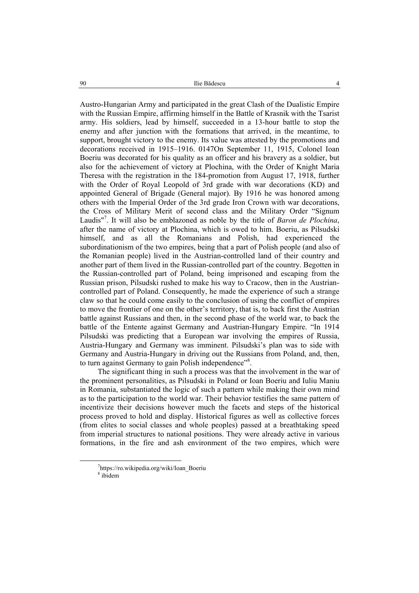90 Ilie Bădescu 4

Austro-Hungarian Army and participated in the great Clash of the Dualistic Empire with the Russian Empire, affirming himself in the Battle of Krasnik with the Tsarist army. His soldiers, lead by himself, succeeded in a 13-hour battle to stop the enemy and after junction with the formations that arrived, in the meantime, to support, brought victory to the enemy. Its value was attested by the promotions and decorations received in 1915–1916. 0147On September 11, 1915, Colonel Ioan Boeriu was decorated for his quality as an officer and his bravery as a soldier, but also for the achievement of victory at Plochina, with the Order of Knight Maria Theresa with the registration in the 184-promotion from August 17, 1918, further with the Order of Royal Leopold of 3rd grade with war decorations (KD) and appointed General of Brigade (General major). By 1916 he was honored among others with the Imperial Order of the 3rd grade Iron Crown with war decorations, the Cross of Military Merit of second class and the Military Order "Signum Laudis<sup>"7</sup>. It will also be emblazoned as noble by the title of *Baron de Plochina*, after the name of victory at Plochina, which is owed to him. Boeriu, as Pilsudski himself, and as all the Romanians and Polish, had experienced the subordinationism of the two empires, being that a part of Polish people (and also of the Romanian people) lived in the Austrian-controlled land of their country and another part of them lived in the Russian-controlled part of the country. Begotten in the Russian-controlled part of Poland, being imprisoned and escaping from the Russian prison, Pilsudski rushed to make his way to Cracow, then in the Austriancontrolled part of Poland. Consequently, he made the experience of such a strange claw so that he could come easily to the conclusion of using the conflict of empires to move the frontier of one on the other's territory, that is, to back first the Austrian battle against Russians and then, in the second phase of the world war, to back the battle of the Entente against Germany and Austrian-Hungary Empire. "In 1914 Pilsudski was predicting that a European war involving the empires of Russia, Austria-Hungary and Germany was imminent. Pilsudski's plan was to side with Germany and Austria-Hungary in driving out the Russians from Poland, and, then, to turn against Germany to gain Polish independence"<sup>8</sup>.

The significant thing in such a process was that the involvement in the war of the prominent personalities, as Pilsudski in Poland or Ioan Boeriu and Iuliu Maniu in Romania, substantiated the logic of such a pattern while making their own mind as to the participation to the world war. Their behavior testifies the same pattern of incentivize their decisions however much the facets and steps of the historical process proved to hold and display. Historical figures as well as collective forces (from elites to social classes and whole peoples) passed at a breathtaking speed from imperial structures to national positions. They were already active in various formations, in the fire and ash environment of the two empires, which were

 <sup>7</sup> https://ro.wikipedia.org/wiki/Ioan\_Boeriu 8 ibidem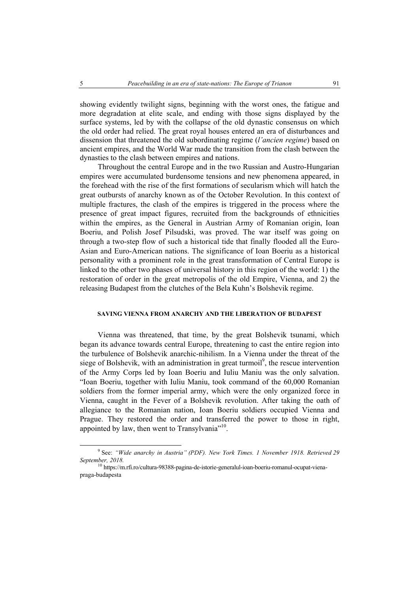showing evidently twilight signs, beginning with the worst ones, the fatigue and more degradation at elite scale, and ending with those signs displayed by the surface systems, led by with the collapse of the old dynastic consensus on which the old order had relied. The great royal houses entered an era of disturbances and dissension that threatened the old subordinating regime (*l'ancien regime*) based on ancient empires, and the World War made the transition from the clash between the dynasties to the clash between empires and nations.

Throughout the central Europe and in the two Russian and Austro-Hungarian empires were accumulated burdensome tensions and new phenomena appeared, in the forehead with the rise of the first formations of secularism which will hatch the great outbursts of anarchy known as of the October Revolution. In this context of multiple fractures, the clash of the empires is triggered in the process where the presence of great impact figures, recruited from the backgrounds of ethnicities within the empires, as the General in Austrian Army of Romanian origin, Ioan Boeriu, and Polish Josef Pilsudski, was proved. The war itself was going on through a two-step flow of such a historical tide that finally flooded all the Euro-Asian and Euro-American nations. The significance of Ioan Boeriu as a historical personality with a prominent role in the great transformation of Central Europe is linked to the other two phases of universal history in this region of the world: 1) the restoration of order in the great metropolis of the old Empire, Vienna, and 2) the releasing Budapest from the clutches of the Bela Kuhn's Bolshevik regime.

## **SAVING VIENNA FROM ANARCHY AND THE LIBERATION OF BUDAPEST**

Vienna was threatened, that time, by the great Bolshevik tsunami, which began its advance towards central Europe, threatening to cast the entire region into the turbulence of Bolshevik anarchic-nihilism. In a Vienna under the threat of the siege of Bolshevik, with an administration in great turmoil<sup>9</sup>, the rescue intervention of the Army Corps led by Ioan Boeriu and Iuliu Maniu was the only salvation. "Ioan Boeriu, together with Iuliu Maniu, took command of the 60,000 Romanian soldiers from the former imperial army, which were the only organized force in Vienna, caught in the Fever of a Bolshevik revolution. After taking the oath of allegiance to the Romanian nation, Ioan Boeriu soldiers occupied Vienna and Prague. They restored the order and transferred the power to those in right, appointed by law, then went to Transylvania<sup>"10</sup>.

 <sup>9</sup> See: *"Wide anarchy in Austria" (PDF). New York Times. 1 November 1918. Retrieved 29 September, 2018.* 10 https://m.rfi.ro/cultura-98388-pagina-de-istorie-generalul-ioan-boeriu-romanul-ocupat-viena-

praga-budapesta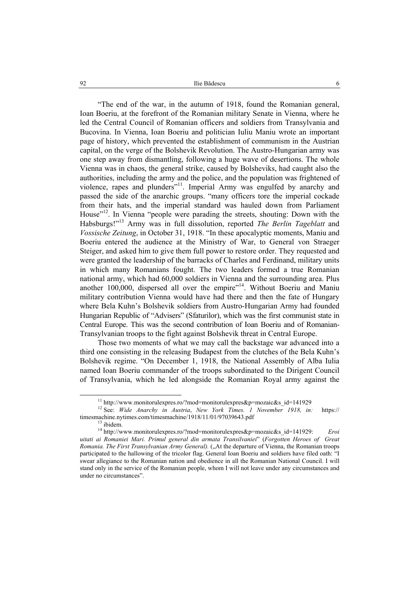"The end of the war, in the autumn of 1918, found the Romanian general, Ioan Boeriu, at the forefront of the Romanian military Senate in Vienna, where he led the Central Council of Romanian officers and soldiers from Transylvania and Bucovina. In Vienna, Ioan Boeriu and politician Iuliu Maniu wrote an important page of history, which prevented the establishment of communism in the Austrian capital, on the verge of the Bolshevik Revolution. The Austro-Hungarian army was one step away from dismantling, following a huge wave of desertions. The whole Vienna was in chaos, the general strike, caused by Bolsheviks, had caught also the authorities, including the army and the police, and the population was frightened of violence, rapes and plunders"<sup>11</sup>. Imperial Army was engulfed by anarchy and passed the side of the anarchic groups. "many officers tore the imperial cockade from their hats, and the imperial standard was hauled down from Parliament House"<sup>12</sup>. In Vienna "people were parading the streets, shouting: Down with the Habsburgs!"13 Army was in full dissolution, reported *The Berlin Tageblatt* and *Vossische Zeitung*, in October 31, 1918. "In these apocalyptic moments, Maniu and Boeriu entered the audience at the Ministry of War, to General von Straeger Steiger, and asked him to give them full power to restore order. They requested and were granted the leadership of the barracks of Charles and Ferdinand, military units in which many Romanians fought. The two leaders formed a true Romanian national army, which had 60,000 soldiers in Vienna and the surrounding area. Plus another 100,000, dispersed all over the empire"<sup>14</sup>. Without Boeriu and Maniu military contribution Vienna would have had there and then the fate of Hungary where Bela Kuhn's Bolshevik soldiers from Austro-Hungarian Army had founded Hungarian Republic of "Advisers" (Sfaturilor), which was the first communist state in Central Europe. This was the second contribution of Ioan Boeriu and of Romanian-Transylvanian troops to the fight against Bolshevik threat in Central Europe.

Those two moments of what we may call the backstage war advanced into a third one consisting in the releasing Budapest from the clutches of the Bela Kuhn's Bolshevik regime. "On December 1, 1918, the National Assembly of Alba Iulia named Ioan Boeriu commander of the troops subordinated to the Dirigent Council of Transylvania, which he led alongside the Romanian Royal army against the

 11 http://www.monitorulexpres.ro/?mod=monitorulexpres&p=mozaic&s\_id=141929 12 See: *Wide Anarchy in Austria*, *New York Times. 1 November 1918, in:* https:// timesmachine.nytimes.com/timesmachine/1918/11/01/97039643.pdf<br>
<sup>13</sup> ibidem.

<sup>14</sup> http://www.monitorulexpres.ro/?mod=monitorulexpres&p=mozaic&s\_id=141929: *Eroi uitati ai Romaniei Mari. Primul general din armata Transilvaniei*" (*Forgotten Heroes of Great Romania. The First Transylvanian Army General).* ("At the departure of Vienna, the Romanian troops participated to the hallowing of the tricolor flag. General Ioan Boeriu and soldiers have filed oath: "I swear allegiance to the Romanian nation and obedience in all the Romanian National Council. I will stand only in the service of the Romanian people, whom I will not leave under any circumstances and under no circumstances".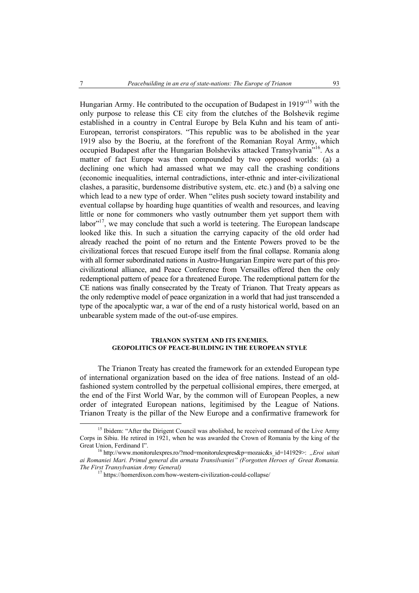Hungarian Army. He contributed to the occupation of Budapest in 1919"15 with the only purpose to release this CE city from the clutches of the Bolshevik regime established in a country in Central Europe by Bela Kuhn and his team of anti-European, terrorist conspirators. "This republic was to be abolished in the year 1919 also by the Boeriu, at the forefront of the Romanian Royal Army, which occupied Budapest after the Hungarian Bolsheviks attacked Transylvania"16. As a matter of fact Europe was then compounded by two opposed worlds: (a) a declining one which had amassed what we may call the crashing conditions (economic inequalities, internal contradictions, inter-ethnic and inter-civilizational clashes, a parasitic, burdensome distributive system, etc. etc.) and (b) a salving one which lead to a new type of order. When "elites push society toward instability and eventual collapse by hoarding huge quantities of wealth and resources, and leaving little or none for commoners who vastly outnumber them yet support them with  $labor<sup>17</sup>$ , we may conclude that such a world is teetering. The European landscape looked like this. In such a situation the carrying capacity of the old order had already reached the point of no return and the Entente Powers proved to be the civilizational forces that rescued Europe itself from the final collapse. Romania along with all former subordinated nations in Austro-Hungarian Empire were part of this procivilizational alliance, and Peace Conference from Versailles offered then the only redemptional pattern of peace for a threatened Europe. The redemptional pattern for the CE nations was finally consecrated by the Treaty of Trianon. That Treaty appears as the only redemptive model of peace organization in a world that had just transcended a type of the apocalyptic war, a war of the end of a rusty historical world, based on an unbearable system made of the out-of-use empires.

#### **TRIANON SYSTEM AND ITS ENEMIES. GEOPOLITICS OF PEACE-BUILDING IN THE EUROPEAN STYLE**

The Trianon Treaty has created the framework for an extended European type of international organization based on the idea of free nations. Instead of an oldfashioned system controlled by the perpetual collisional empires, there emerged, at the end of the First World War, by the common will of European Peoples, a new order of integrated European nations, legitimised by the League of Nations. Trianon Treaty is the pillar of the New Europe and a confirmative framework for

<sup>&</sup>lt;sup>15</sup> Ibidem: "After the Dirigent Council was abolished, he received command of the Live Army Corps in Sibiu. He retired in 1921, when he was awarded the Crown of Romania by the king of the

<sup>&</sup>lt;sup>16</sup> http://www.monitorulexpres.ro/?mod=monitorulexpres&p=mozaic&s\_id=141929>: *..Eroi uitati ai Romaniei Mari. Primul general din armata Transilvaniei" (Forgotten Heroes of Great Romania.* 

*The First Transylvanian Army General)* 17 https://homerdixon.com/how-western-civilization-could-collapse/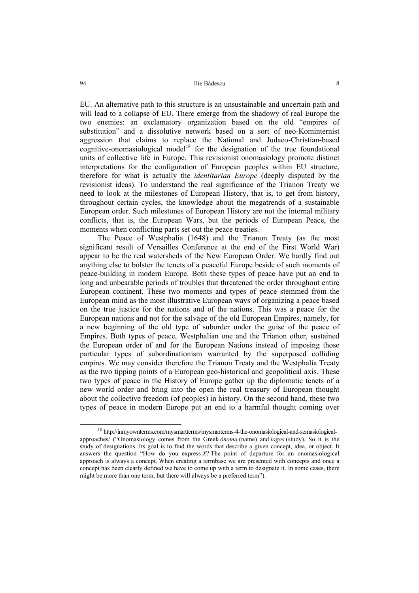EU. An alternative path to this structure is an unsustainable and uncertain path and will lead to a collapse of EU. There emerge from the shadowy of real Europe the two enemies: an exclamatory organization based on the old "empires of substitution" and a dissolutive network based on a sort of neo-Kominternist aggression that claims to replace the National and Judaeo-Christian-based cognitive-onomasiological model<sup>18</sup> for the designation of the true foundational units of collective life in Europe. This revisionist onomasiology promote distinct interpretations for the configuration of European peoples within EU structure, therefore for what is actually the *identitarian Europe* (deeply disputed by the revisionist ideas). To understand the real significance of the Trianon Treaty we need to look at the milestones of European History, that is, to get from history, throughout certain cycles, the knowledge about the megatrends of a sustainable European order. Such milestones of European History are not the internal military conflicts, that is, the European Wars, but the periods of European Peace, the moments when conflicting parts set out the peace treaties.

The Peace of Westphalia (1648) and the Trianon Treaty (as the most significant result of Versailles Conference at the end of the First World War) appear to be the real watersheds of the New European Order. We hardly find out anything else to bolster the tenets of a peaceful Europe beside of such moments of peace-building in modern Europe. Both these types of peace have put an end to long and unbearable periods of troubles that threatened the order throughout entire European continent. These two moments and types of peace stemmed from the European mind as the most illustrative European ways of organizing a peace based on the true justice for the nations and of the nations. This was a peace for the European nations and not for the salvage of the old European Empires, namely, for a new beginning of the old type of suborder under the guise of the peace of Empires. Both types of peace, Westphalian one and the Trianon other, sustained the European order of and for the European Nations instead of imposing those particular types of subordinationism warranted by the superposed colliding empires. We may consider therefore the Trianon Treaty and the Westphalia Treaty as the two tipping points of a European geo-historical and geopolitical axis. These two types of peace in the History of Europe gather up the diplomatic tenets of a new world order and bring into the open the real treasury of European thought about the collective freedom (of peoples) in history. On the second hand, these two types of peace in modern Europe put an end to a harmful thought coming over

<sup>&</sup>lt;sup>18</sup> http://inmyownterms.com/mysmartterms/mysmarterms-4-the-onomasiological-and-semasiologicalapproaches/ ("Onomasiology comes from the Greek *ónoma* (name) and *logos* (study). So it is the study of designations. Its goal is to find the words that describe a given concept, idea, or object. It answers the question "How do you express *X*? The point of departure for an onomasiological approach is always a concept. When creating a termbase we are presented with concepts and once a concept has been clearly defined we have to come up with a term to designate it. In some cases, there might be more than one term, but there will always be a preferred term").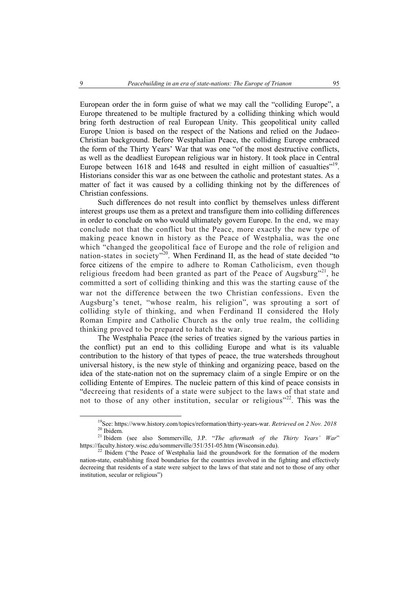European order the in form guise of what we may call the "colliding Europe", a Europe threatened to be multiple fractured by a colliding thinking which would bring forth destruction of real European Unity. This geopolitical unity called Europe Union is based on the respect of the Nations and relied on the Judaeo-Christian background. Before Westphalian Peace, the colliding Europe embraced the form of the Thirty Years' War that was one "of the most destructive conflicts, as well as the deadliest European religious war in history. It took place in Central Europe between 1618 and 1648 and resulted in eight million of casualties"<sup>19</sup>. Historians consider this war as one between the catholic and protestant states. As a matter of fact it was caused by a colliding thinking not by the differences of Christian confessions.

Such differences do not result into conflict by themselves unless different interest groups use them as a pretext and transfigure them into colliding differences in order to conclude on who would ultimately govern Europe. In the end, we may conclude not that the conflict but the Peace, more exactly the new type of making peace known in history as the Peace of Westphalia, was the one which "changed the geopolitical face of Europe and the role of religion and nation-states in society"<sup>20</sup>. When Ferdinand II, as the head of state decided "to force citizens of the empire to adhere to Roman Catholicism, even though religious freedom had been granted as part of the Peace of Augsburg"<sup>21</sup>, he committed a sort of colliding thinking and this was the starting cause of the war not the difference between the two Christian confessions. Even the Augsburg's tenet, "whose realm, his religion", was sprouting a sort of colliding style of thinking, and when Ferdinand II considered the Holy Roman Empire and Catholic Church as the only true realm, the colliding thinking proved to be prepared to hatch the war.

The Westphalia Peace (the series of treaties signed by the various parties in the conflict) put an end to this colliding Europe and what is its valuable contribution to the history of that types of peace, the true watersheds throughout universal history, is the new style of thinking and organizing peace, based on the idea of the state-nation not on the supremacy claim of a single Empire or on the colliding Entente of Empires. The nucleic pattern of this kind of peace consists in "decreeing that residents of a state were subject to the laws of that state and not to those of any other institution, secular or religious<sup>"22</sup>. This was the

<sup>&</sup>lt;sup>19</sup>See: https://www.history.com/topics/reformation/thirty-years-war. *Retrieved on 2 Nov. 2018*<sup>20</sup> Ibidem.

<sup>&</sup>lt;sup>21</sup> Ibidem (see also Sommerville, J.P. "*The aftermath of the Thirty Years' War*" https://faculty.history.wisc.edu/sommerville/351/351-05.htm (Wisconsin.edu).

 $h^{22}$  Ibidem ("the Peace of Westphalia laid the groundwork for the formation of the modern nation-state, establishing fixed boundaries for the countries involved in the fighting and effectively decreeing that residents of a state were subject to the laws of that state and not to those of any other institution, secular or religious")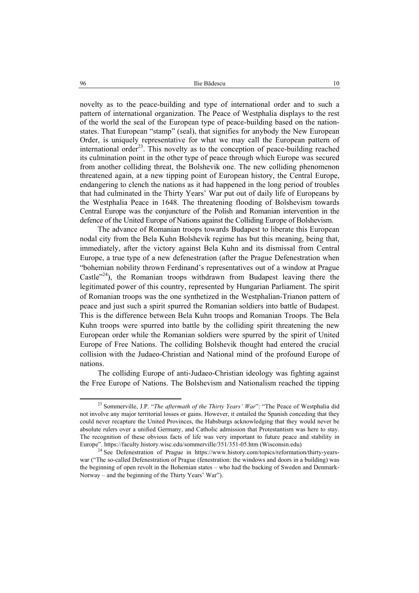novelty as to the peace-building and type of international order and to such a pattern of international organization. The Peace of Westphalia displays to the rest of the world the seal of the European type of peace-building based on the nationstates. That European "stamp" (seal), that signifies for anybody the New European Order, is uniquely representative for what we may call the European pattern of international order<sup>23</sup>. This novelty as to the conception of peace-building reached its culmination point in the other type of peace through which Europe was secured from another colliding threat, the Bolshevik one. The new colliding phenomenon threatened again, at a new tipping point of European history, the Central Europe, endangering to clench the nations as it had happened in the long period of troubles that had culminated in the Thirty Years' War put out of daily life of Europeans by the Westphalia Peace in 1648. The threatening flooding of Bolshevism towards Central Europe was the conjuncture of the Polish and Romanian intervention in the defence of the United Europe of Nations against the Colliding Europe of Bolshevism.

The advance of Romanian troops towards Budapest to liberate this European nodal city from the Bela Kuhn Bolshevik regime has but this meaning, being that, immediately, after the victory against Bela Kuhn and its dismissal from Central Europe, a true type of a new defenestration (after the Prague Defenestration when "bohemian nobility thrown Ferdinand's representatives out of a window at Prague Castle"<sup>24</sup>), the Romanian troops withdrawn from Budapest leaving there the legitimated power of this country, represented by Hungarian Parliament. The spirit of Romanian troops was the one synthetized in the Westphalian-Trianon pattern of peace and just such a spirit spurred the Romanian soldiers into battle of Budapest. This is the difference between Bela Kuhn troops and Romanian Troops. The Bela Kuhn troops were spurred into battle by the colliding spirit threatening the new European order while the Romanian soldiers were spurred by the spirit of United Europe of Free Nations. The colliding Bolshevik thought had entered the crucial collision with the Judaeo-Christian and National mind of the profound Europe of nations.

The colliding Europe of anti-Judaeo-Christian ideology was fighting against the Free Europe of Nations. The Bolshevism and Nationalism reached the tipping

<sup>&</sup>lt;sup>23</sup> Sommerville, J.P. "The aftermath of the Thirty Years' War": "The Peace of Westphalia did not involve any major territorial losses or gains. However, it entailed the Spanish conceding that they could never recapture the United Provinces, the Habsburgs acknowledging that they would never be absolute rulers over a unified Germany, and Catholic admission that Protestantism was here to stay. The recognition of these obvious facts of life was very important to future peace and stability in Europe". https://faculty.history.wisc.edu/sommerville/351/351-05.htm (Wisconsin.edu)<br><sup>24</sup> See Defenestration of Prague in https://www.history.com/topics/reformation/thirty-years-

war ("The so-called Defenestration of Prague (fenestration: the windows and doors in a building) was the beginning of open revolt in the Bohemian states – who had the backing of Sweden and Denmark-Norway – and the beginning of the Thirty Years' War").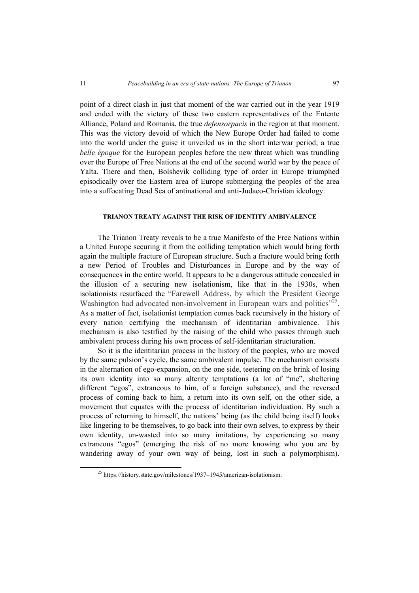point of a direct clash in just that moment of the war carried out in the year 1919 and ended with the victory of these two eastern representatives of the Entente Alliance, Poland and Romania, the true *defensorpacis* in the region at that moment. This was the victory devoid of which the New Europe Order had failed to come into the world under the guise it unveiled us in the short interwar period, a true *belle époque* for the European peoples before the new threat which was trundling over the Europe of Free Nations at the end of the second world war by the peace of Yalta. There and then, Bolshevik colliding type of order in Europe triumphed episodically over the Eastern area of Europe submerging the peoples of the area into a suffocating Dead Sea of antinational and anti-Judaeo-Christian ideology.

#### **TRIANON TREATY AGAINST THE RISK OF IDENTITY AMBIVALENCE**

The Trianon Treaty reveals to be a true Manifesto of the Free Nations within a United Europe securing it from the colliding temptation which would bring forth again the multiple fracture of European structure. Such a fracture would bring forth a new Period of Troubles and Disturbances in Europe and by the way of consequences in the entire world. It appears to be a dangerous attitude concealed in the illusion of a securing new isolationism, like that in the 1930s, when isolationists resurfaced the "Farewell Address, by which the President George Washington had advocated non-involvement in European wars and politics<sup>"25</sup>. As a matter of fact, isolationist temptation comes back recursively in the history of every nation certifying the mechanism of identitarian ambivalence. This mechanism is also testified by the raising of the child who passes through such ambivalent process during his own process of self-identitarian structuration.

So it is the identitarian process in the history of the peoples, who are moved by the same pulsion's cycle, the same ambivalent impulse. The mechanism consists in the alternation of ego-expansion, on the one side, teetering on the brink of losing its own identity into so many alterity temptations (a lot of "me", sheltering different "egos", extraneous to him, of a foreign substance), and the reversed process of coming back to him, a return into its own self, on the other side, a movement that equates with the process of identitarian individuation. By such a process of returning to himself, the nations' being (as the child being itself) looks like lingering to be themselves, to go back into their own selves, to express by their own identity, un-wasted into so many imitations, by experiencing so many extraneous "egos" (emerging the risk of no more knowing who you are by wandering away of your own way of being, lost in such a polymorphism).

 25 https://history.state.gov/milestones/1937–1945/american-isolationism.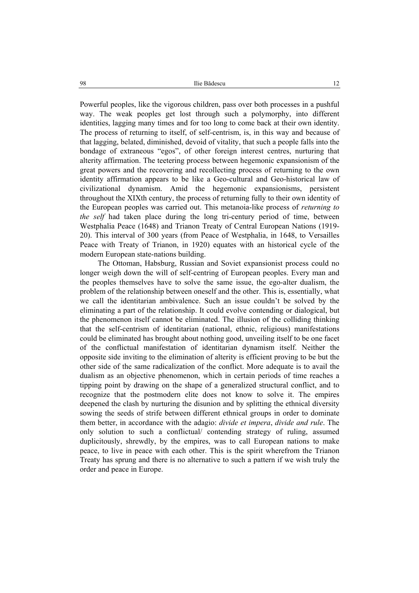Powerful peoples, like the vigorous children, pass over both processes in a pushful way. The weak peoples get lost through such a polymorphy, into different identities, lagging many times and for too long to come back at their own identity. The process of returning to itself, of self-centrism, is, in this way and because of that lagging, belated, diminished, devoid of vitality, that such a people falls into the bondage of extraneous "egos", of other foreign interest centres, nurturing that alterity affirmation. The teetering process between hegemonic expansionism of the great powers and the recovering and recollecting process of returning to the own identity affirmation appears to be like a Geo-cultural and Geo-historical law of civilizational dynamism. Amid the hegemonic expansionisms, persistent throughout the XIXth century, the process of returning fully to their own identity of the European peoples was carried out. This metanoia-like process of *returning to the self* had taken place during the long tri-century period of time, between Westphalia Peace (1648) and Trianon Treaty of Central European Nations (1919- 20). This interval of 300 years (from Peace of Westphalia, in 1648, to Versailles Peace with Treaty of Trianon, in 1920) equates with an historical cycle of the modern European state-nations building.

The Ottoman, Habsburg, Russian and Soviet expansionist process could no longer weigh down the will of self-centring of European peoples. Every man and the peoples themselves have to solve the same issue, the ego-alter dualism, the problem of the relationship between oneself and the other. This is, essentially, what we call the identitarian ambivalence. Such an issue couldn't be solved by the eliminating a part of the relationship. It could evolve contending or dialogical, but the phenomenon itself cannot be eliminated. The illusion of the colliding thinking that the self-centrism of identitarian (national, ethnic, religious) manifestations could be eliminated has brought about nothing good, unveiling itself to be one facet of the conflictual manifestation of identitarian dynamism itself. Neither the opposite side inviting to the elimination of alterity is efficient proving to be but the other side of the same radicalization of the conflict. More adequate is to avail the dualism as an objective phenomenon, which in certain periods of time reaches a tipping point by drawing on the shape of a generalized structural conflict, and to recognize that the postmodern elite does not know to solve it. The empires deepened the clash by nurturing the disunion and by splitting the ethnical diversity sowing the seeds of strife between different ethnical groups in order to dominate them better, in accordance with the adagio: *divide et impera*, *divide and rule*. The only solution to such a conflictual/ contending strategy of ruling, assumed duplicitously, shrewdly, by the empires, was to call European nations to make peace, to live in peace with each other. This is the spirit wherefrom the Trianon Treaty has sprung and there is no alternative to such a pattern if we wish truly the order and peace in Europe.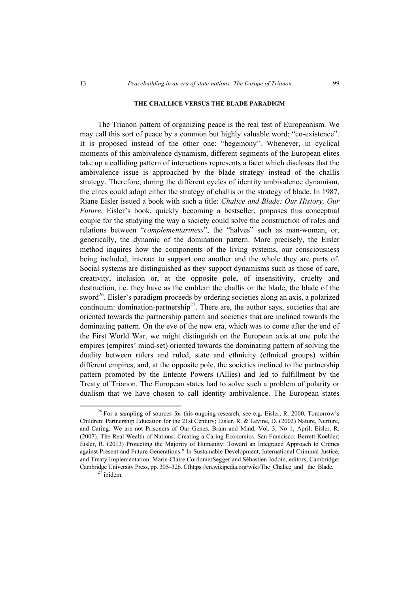## **THE CHALLICE VERSUS THE BLADE PARADIGM**

The Trianon pattern of organizing peace is the real test of Europeanism. We may call this sort of peace by a common but highly valuable word: "co-existence". It is proposed instead of the other one: "hegemony". Whenever, in cyclical moments of this ambivalence dynamism, different segments of the European elites take up a colliding pattern of interactions represents a facet which discloses that the ambivalence issue is approached by the blade strategy instead of the challis strategy. Therefore, during the different cycles of identity ambivalence dynamism, the elites could adopt either the strategy of challis or the strategy of blade. In 1987, Riane Eisler issued a book with such a title: *Chalice and Blade: Our History, Our Future.* Eisler's book, quickly becoming a bestseller, proposes this conceptual couple for the studying the way a society could solve the construction of roles and relations between "*complementariness*", the "halves" such as man-woman, or, generically, the dynamic of the domination pattern. More precisely, the Eisler method inquires how the components of the living systems, our consciousness being included, interact to support one another and the whole they are parts of. Social systems are distinguished as they support dynamisms such as those of care, creativity, inclusion or, at the opposite pole, of insensitivity, cruelty and destruction, i.e. they have as the emblem the challis or the blade, the blade of the sword<sup>26</sup>. Eisler's paradigm proceeds by ordering societies along an axis, a polarized continuum: domination-partnership<sup>27</sup>. There are, the author says, societies that are oriented towards the partnership pattern and societies that are inclined towards the dominating pattern. On the eve of the new era, which was to come after the end of the First World War, we might distinguish on the European axis at one pole the empires (empires' mind-set) oriented towards the dominating pattern of solving the duality between rulers and ruled, state and ethnicity (ethnical groups) within different empires, and, at the opposite pole, the societies inclined to the partnership pattern promoted by the Entente Powers (Allies) and led to fulfillment by the Treaty of Trianon. The European states had to solve such a problem of polarity or dualism that we have chosen to call identity ambivalence. The European states

 $^{26}$  For a sampling of sources for this ongoing research, see e.g. Eisler, R. 2000. Tomorrow's Children: Partnership Education for the 21st Century; Eisler, R. & Levine, D. (2002) Nature, Nurture, and Caring: We are not Prisoners of Our Genes. Brain and Mind, Vol. 3, No 1, April; Eisler, R. (2007). The Real Wealth of Nations: Creating a Caring Economics. San Francisco: Berrett-Koehler; Eisler, R. (2013) Protecting the Majority of Humanity: Toward an Integrated Approach to Crimes against Present and Future Generations." In Sustainable Development, International Criminal Justice, and Treaty Implementation. Marie-Claire CordonierSegger and Sébastien Jodoin, editors, Cambridge: Cambridge University Press, pp. 305–326. Cfhttps://en.wikipedia.org/wiki/The\_Chalice\_and \_the\_Blade. <sup>27</sup> ibidem.